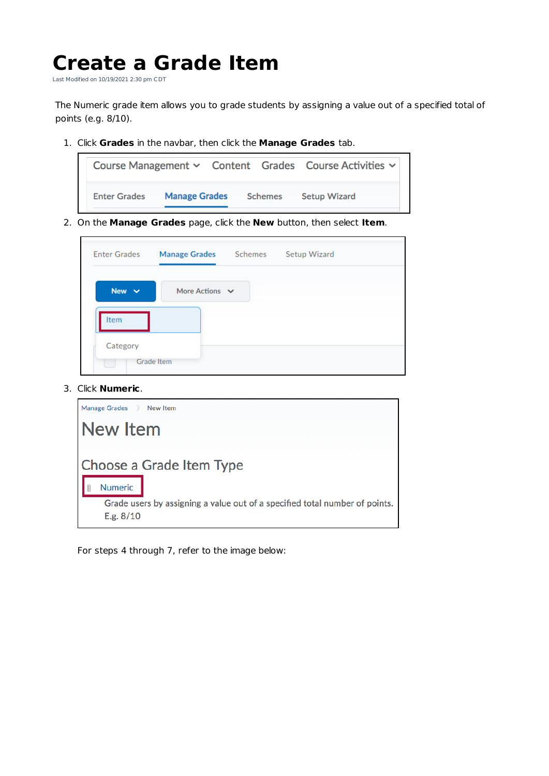## **Create a Grade Item**

Last Modified on 10/19/2021 2:30 pm CDT

The Numeric grade item allows you to grade students by assigning a value out of a specified total of points (e.g. 8/10).

1. Click **Grades** in the navbar, then click the **Manage Grades** tab.



2. On the **Manage Grades** page, click the **New** button, then select **Item**.

| <b>Enter Grades</b> | <b>Manage Grades</b> | Schemes | Setup Wizard |
|---------------------|----------------------|---------|--------------|
| New $\vee$          | More Actions $\vee$  |         |              |
| Item                |                      |         |              |
| Category            |                      |         |              |

3. Click **Numeric**.

| Manage Grades ><br>New Item                                                                |
|--------------------------------------------------------------------------------------------|
| <b>New Item</b>                                                                            |
| Choose a Grade Item Type<br><b>Numeric</b>                                                 |
| Grade users by assigning a value out of a specified total number of points.<br>E.g. $8/10$ |

For steps 4 through 7, refer to the image below: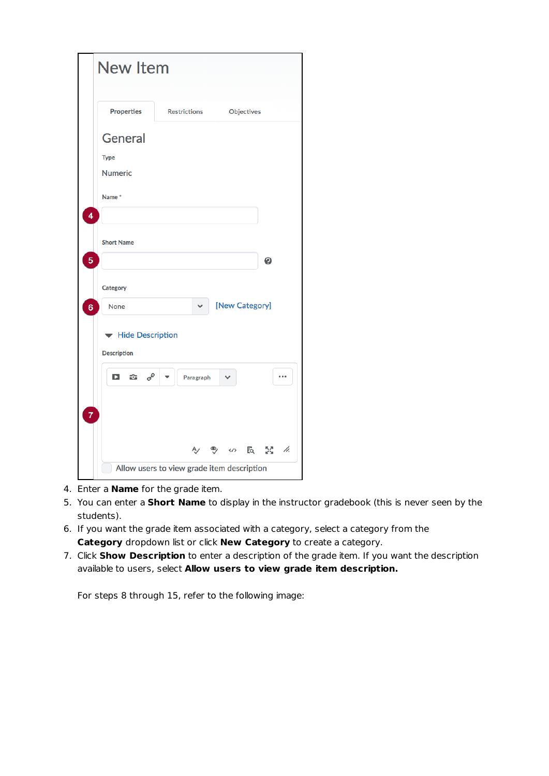|                | <b>New Item</b>                                  |                                            |                |                     |
|----------------|--------------------------------------------------|--------------------------------------------|----------------|---------------------|
|                | <b>Properties</b>                                | <b>Restrictions</b>                        | Objectives     |                     |
|                | <b>General</b>                                   |                                            |                |                     |
|                | <b>Type</b>                                      |                                            |                |                     |
|                | <b>Numeric</b>                                   |                                            |                |                     |
| 4              | Name*                                            |                                            |                |                     |
|                | <b>Short Name</b>                                |                                            |                |                     |
| 5              |                                                  |                                            |                | $\ddot{\mathbf{e}}$ |
|                | Category                                         |                                            |                |                     |
| 6              | <b>None</b>                                      |                                            | [New Category] |                     |
|                | Hide Description<br><b>Description</b>           |                                            |                |                     |
|                | $\mathcal{O}^{\mathcal{O}}$<br>$\mathbf{C}$<br>Þ | Paragraph                                  | $\checkmark$   |                     |
| $\overline{7}$ |                                                  |                                            |                |                     |
|                |                                                  | Ą,                                         | ❤<br>くノン       | $55 - 45$<br>Fq.    |
|                |                                                  | Allow users to view grade item description |                |                     |

- 4. Enter a **Name** for the grade item.
- 5. You can enter a **Short Name** to display in the instructor gradebook (this is never seen by the students).
- 6. If you want the grade item associated with a category, select a category from the **Category** dropdown list or click **New Category** to create a category.
- 7. Click **Show Description** to enter a description of the grade item. If you want the description available to users, select **Allow users to view grade item description.**

For steps 8 through 15, refer to the following image: